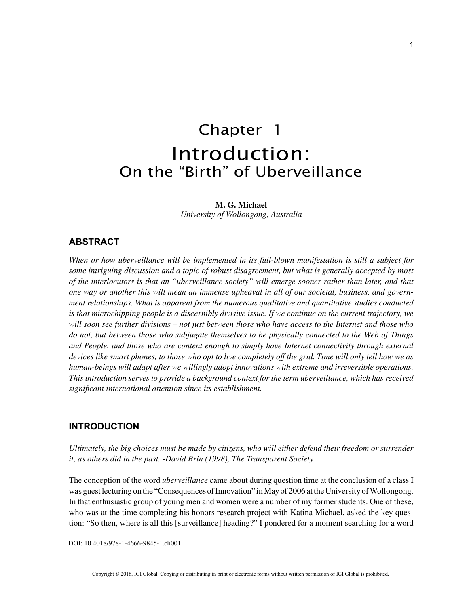# Chapter 1 Introduction: On the "Birth" of Uberveillance

#### **M. G. Michael**

*University of Wollongong, Australia*

#### **ABSTRACT**

*When or how uberveillance will be implemented in its full-blown manifestation is still a subject for some intriguing discussion and a topic of robust disagreement, but what is generally accepted by most of the interlocutors is that an "uberveillance society" will emerge sooner rather than later, and that one way or another this will mean an immense upheaval in all of our societal, business, and government relationships. What is apparent from the numerous qualitative and quantitative studies conducted is that microchipping people is a discernibly divisive issue. If we continue on the current trajectory, we will soon see further divisions – not just between those who have access to the Internet and those who do not, but between those who subjugate themselves to be physically connected to the Web of Things*  and People, and those who are content enough to simply have Internet connectivity through external *devices like smart phones, to those who opt to live completely off the grid. Time will only tell how we as human-beings will adapt after we willingly adopt innovations with extreme and irreversible operations. This introduction serves to provide a background context for the term uberveillance, which has received significant international attention since its establishment.*

### **INTRODUCTION**

*Ultimately, the big choices must be made by citizens, who will either defend their freedom or surrender it, as others did in the past. -David Brin (1998), The Transparent Society.*

The conception of the word *uberveillance* came about during question time at the conclusion of a class I was guest lecturing on the "Consequences of Innovation" in May of 2006 at the University of Wollongong. In that enthusiastic group of young men and women were a number of my former students. One of these, who was at the time completing his honors research project with Katina Michael, asked the key question: "So then, where is all this [surveillance] heading?" I pondered for a moment searching for a word

DOI: 10.4018/978-1-4666-9845-1.ch001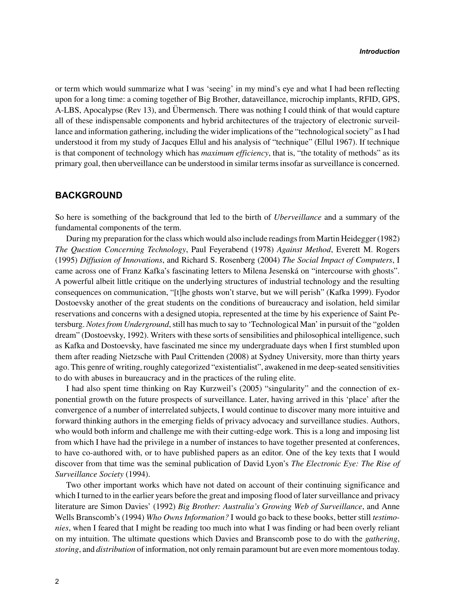or term which would summarize what I was 'seeing' in my mind's eye and what I had been reflecting upon for a long time: a coming together of Big Brother, dataveillance, microchip implants, RFID, GPS, A-LBS, Apocalypse (Rev 13), and Übermensch. There was nothing I could think of that would capture all of these indispensable components and hybrid architectures of the trajectory of electronic surveillance and information gathering, including the wider implications of the "technological society" as I had understood it from my study of Jacques Ellul and his analysis of "technique" (Ellul 1967). If technique is that component of technology which has *maximum efficiency*, that is, "the totality of methods" as its primary goal, then uberveillance can be understood in similar terms insofar as surveillance is concerned.

#### **BACKGROUND**

So here is something of the background that led to the birth of *Uberveillance* and a summary of the fundamental components of the term.

During my preparation for the class which would also include readings from Martin Heidegger (1982) *The Question Concerning Technology*, Paul Feyerabend (1978) *Against Method*, Everett M. Rogers (1995) *Diffusion of Innovations*, and Richard S. Rosenberg (2004) *The Social Impact of Computers*, I came across one of Franz Kafka's fascinating letters to Milena Jesenská on "intercourse with ghosts". A powerful albeit little critique on the underlying structures of industrial technology and the resulting consequences on communication, "[t]he ghosts won't starve, but we will perish" (Kafka 1999). Fyodor Dostoevsky another of the great students on the conditions of bureaucracy and isolation, held similar reservations and concerns with a designed utopia, represented at the time by his experience of Saint Petersburg. *Notes from Underground*, still has much to say to 'Technological Man' in pursuit of the "golden dream" (Dostoevsky, 1992). Writers with these sorts of sensibilities and philosophical intelligence, such as Kafka and Dostoevsky, have fascinated me since my undergraduate days when I first stumbled upon them after reading Nietzsche with Paul Crittenden (2008) at Sydney University, more than thirty years ago. This genre of writing, roughly categorized "existentialist", awakened in me deep-seated sensitivities to do with abuses in bureaucracy and in the practices of the ruling elite.

I had also spent time thinking on Ray Kurzweil's (2005) "singularity" and the connection of exponential growth on the future prospects of surveillance. Later, having arrived in this 'place' after the convergence of a number of interrelated subjects, I would continue to discover many more intuitive and forward thinking authors in the emerging fields of privacy advocacy and surveillance studies. Authors, who would both inform and challenge me with their cutting-edge work. This is a long and imposing list from which I have had the privilege in a number of instances to have together presented at conferences, to have co-authored with, or to have published papers as an editor. One of the key texts that I would discover from that time was the seminal publication of David Lyon's *The Electronic Eye: The Rise of Surveillance Society* (1994).

Two other important works which have not dated on account of their continuing significance and which I turned to in the earlier years before the great and imposing flood of later surveillance and privacy literature are Simon Davies' (1992) *Big Brother: Australia's Growing Web of Surveillance*, and Anne Wells Branscomb's (1994) *Who Owns Information?* I would go back to these books, better still *testimonies*, when I feared that I might be reading too much into what I was finding or had been overly reliant on my intuition. The ultimate questions which Davies and Branscomb pose to do with the *gathering*, *storing*, and *distribution* of information, not only remain paramount but are even more momentous today.